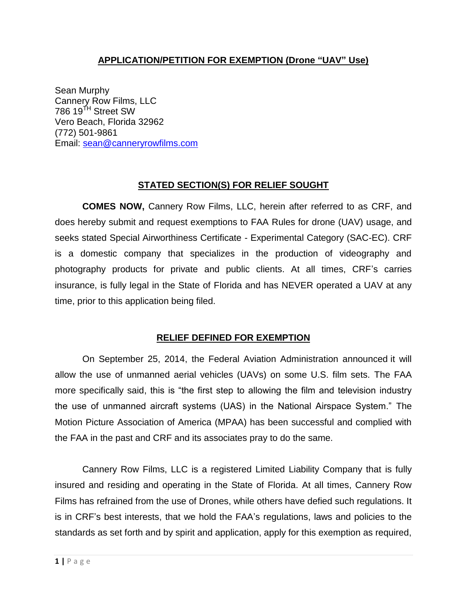## **APPLICATION/PETITION FOR EXEMPTION (Drone "UAV" Use)**

Sean Murphy Cannery Row Films, LLC 786 19<sup>TH</sup> Street SW Vero Beach, Florida 32962 (772) 501-9861 Email: [sean@canneryrowfilms.com](mailto:sean@canneryrowfilms.com)

# **STATED SECTION(S) FOR RELIEF SOUGHT**

**COMES NOW,** Cannery Row Films, LLC, herein after referred to as CRF, and does hereby submit and request exemptions to FAA Rules for drone (UAV) usage, and seeks stated Special Airworthiness Certificate - Experimental Category (SAC-EC). CRF is a domestic company that specializes in the production of videography and photography products for private and public clients. At all times, CRF's carries insurance, is fully legal in the State of Florida and has NEVER operated a UAV at any time, prior to this application being filed.

#### **RELIEF DEFINED FOR EXEMPTION**

On September 25, 2014, the Federal Aviation Administration [announced](http://www.faa.gov/news/press_releases/news_story.cfm?newsId=17194) it will allow the use of unmanned aerial vehicles (UAVs) on some U.S. film sets. The FAA more specifically said, this is "the first step to allowing the film and television industry the use of unmanned aircraft systems (UAS) in the National Airspace System." The Motion Picture Association of America (MPAA) has been successful and complied with the FAA in the past and CRF and its associates pray to do the same.

Cannery Row Films, LLC is a registered Limited Liability Company that is fully insured and residing and operating in the State of Florida. At all times, Cannery Row Films has refrained from the use of Drones, while others have defied such regulations. It is in CRF's best interests, that we hold the FAA's regulations, laws and policies to the standards as set forth and by spirit and application, apply for this exemption as required,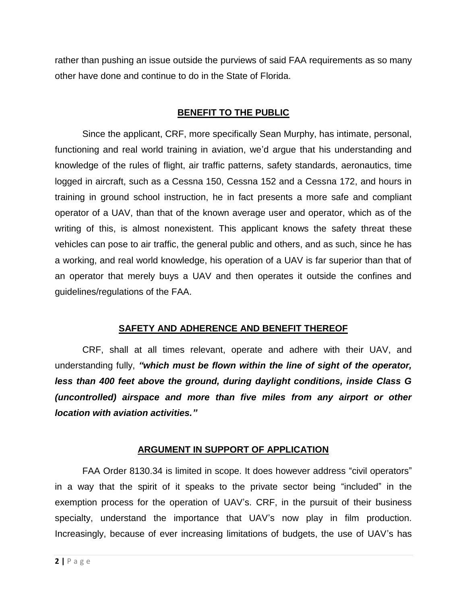rather than pushing an issue outside the purviews of said FAA requirements as so many other have done and continue to do in the State of Florida.

## **BENEFIT TO THE PUBLIC**

Since the applicant, CRF, more specifically Sean Murphy, has intimate, personal, functioning and real world training in aviation, we'd argue that his understanding and knowledge of the rules of flight, air traffic patterns, safety standards, aeronautics, time logged in aircraft, such as a Cessna 150, Cessna 152 and a Cessna 172, and hours in training in ground school instruction, he in fact presents a more safe and compliant operator of a UAV, than that of the known average user and operator, which as of the writing of this, is almost nonexistent. This applicant knows the safety threat these vehicles can pose to air traffic, the general public and others, and as such, since he has a working, and real world knowledge, his operation of a UAV is far superior than that of an operator that merely buys a UAV and then operates it outside the confines and guidelines/regulations of the FAA.

#### **SAFETY AND ADHERENCE AND BENEFIT THEREOF**

CRF, shall at all times relevant, operate and adhere with their UAV, and understanding fully, *"which must be flown within the line of sight of the operator, less than 400 feet above the ground, during daylight conditions, inside Class G (uncontrolled) airspace and more than five miles from any airport or other location with aviation activities."*

# **ARGUMENT IN SUPPORT OF APPLICATION**

FAA Order 8130.34 is limited in scope. It does however address "civil operators" in a way that the spirit of it speaks to the private sector being "included" in the exemption process for the operation of UAV's. CRF, in the pursuit of their business specialty, understand the importance that UAV's now play in film production. Increasingly, because of ever increasing limitations of budgets, the use of UAV's has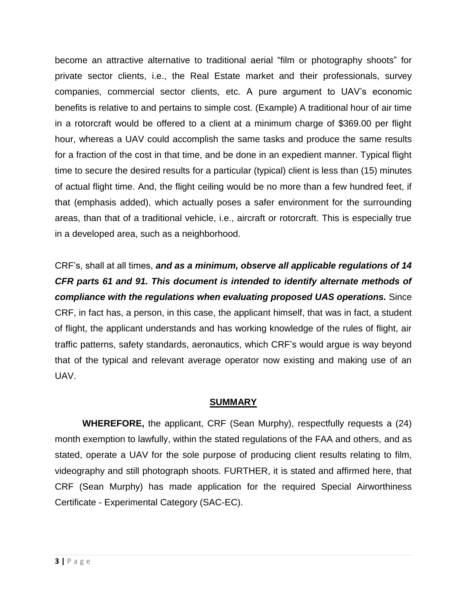become an attractive alternative to traditional aerial "film or photography shoots" for private sector clients, i.e., the Real Estate market and their professionals, survey companies, commercial sector clients, etc. A pure argument to UAV's economic benefits is relative to and pertains to simple cost. (Example) A traditional hour of air time in a rotorcraft would be offered to a client at a minimum charge of \$369.00 per flight hour, whereas a UAV could accomplish the same tasks and produce the same results for a fraction of the cost in that time, and be done in an expedient manner. Typical flight time to secure the desired results for a particular (typical) client is less than (15) minutes of actual flight time. And, the flight ceiling would be no more than a few hundred feet, if that (emphasis added), which actually poses a safer environment for the surrounding areas, than that of a traditional vehicle, i.e., aircraft or rotorcraft. This is especially true in a developed area, such as a neighborhood.

CRF's, shall at all times, *and as a minimum, observe all applicable regulations of 14 CFR parts 61 and 91. This document is intended to identify alternate methods of compliance with the regulations when evaluating proposed UAS operations.* Since CRF, in fact has, a person, in this case, the applicant himself, that was in fact, a student of flight, the applicant understands and has working knowledge of the rules of flight, air traffic patterns, safety standards, aeronautics, which CRF's would argue is way beyond that of the typical and relevant average operator now existing and making use of an UAV.

#### **SUMMARY**

**WHEREFORE,** the applicant, CRF (Sean Murphy), respectfully requests a (24) month exemption to lawfully, within the stated regulations of the FAA and others, and as stated, operate a UAV for the sole purpose of producing client results relating to film, videography and still photograph shoots. FURTHER, it is stated and affirmed here, that CRF (Sean Murphy) has made application for the required Special Airworthiness Certificate - Experimental Category (SAC-EC).